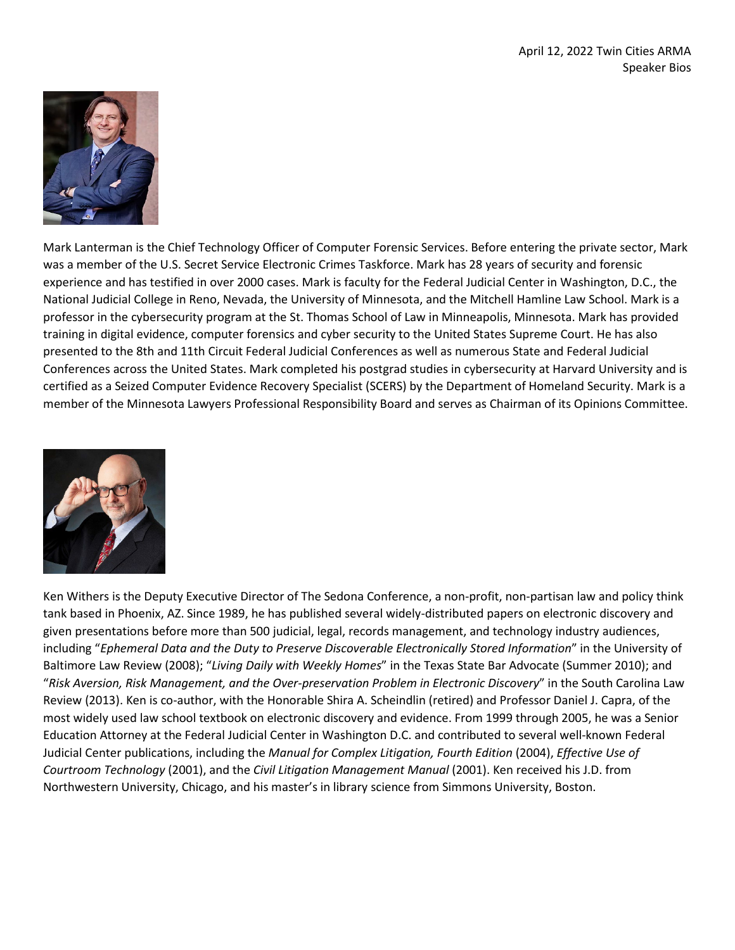

Mark Lanterman is the Chief Technology Officer of Computer Forensic Services. Before entering the private sector, Mark was a member of the U.S. Secret Service Electronic Crimes Taskforce. Mark has 28 years of security and forensic experience and has testified in over 2000 cases. Mark is faculty for the Federal Judicial Center in Washington, D.C., the National Judicial College in Reno, Nevada, the University of Minnesota, and the Mitchell Hamline Law School. Mark is a professor in the cybersecurity program at the St. Thomas School of Law in Minneapolis, Minnesota. Mark has provided training in digital evidence, computer forensics and cyber security to the United States Supreme Court. He has also presented to the 8th and 11th Circuit Federal Judicial Conferences as well as numerous State and Federal Judicial Conferences across the United States. Mark completed his postgrad studies in cybersecurity at Harvard University and is certified as a Seized Computer Evidence Recovery Specialist (SCERS) by the Department of Homeland Security. Mark is a member of the Minnesota Lawyers Professional Responsibility Board and serves as Chairman of its Opinions Committee.



Ken Withers is the Deputy Executive Director of The Sedona Conference, a non-profit, non-partisan law and policy think tank based in Phoenix, AZ. Since 1989, he has published several widely-distributed papers on electronic discovery and given presentations before more than 500 judicial, legal, records management, and technology industry audiences, including "*Ephemeral Data and the Duty to Preserve Discoverable Electronically Stored Information*" in the University of Baltimore Law Review (2008); "*Living Daily with Weekly Homes*" in the Texas State Bar Advocate (Summer 2010); and "*Risk Aversion, Risk Management, and the Over-preservation Problem in Electronic Discovery*" in the South Carolina Law Review (2013). Ken is co-author, with the Honorable Shira A. Scheindlin (retired) and Professor Daniel J. Capra, of the most widely used law school textbook on electronic discovery and evidence. From 1999 through 2005, he was a Senior Education Attorney at the Federal Judicial Center in Washington D.C. and contributed to several well-known Federal Judicial Center publications, including the *Manual for Complex Litigation, Fourth Edition* (2004), *Effective Use of Courtroom Technology* (2001), and the *Civil Litigation Management Manual* (2001). Ken received his J.D. from Northwestern University, Chicago, and his master's in library science from Simmons University, Boston.